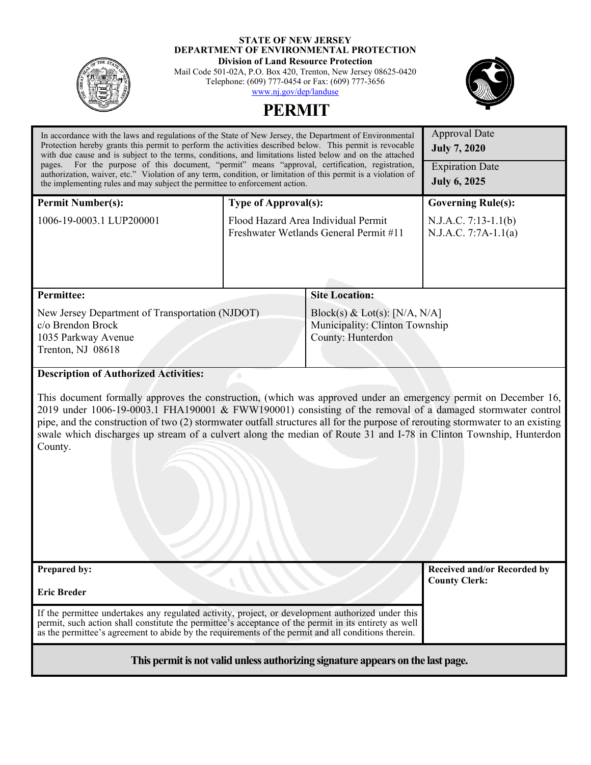

#### **STATE OF NEW JERSEY DEPARTMENT OF ENVIRONMENTAL PROTECTION Division of Land Resource Protection**

Mail Code 501-02A, P.O. Box 420, Trenton, New Jersey 08625-0420 Telephone: (609) 777-0454 or Fax: (609) 777-3656 [www.nj.gov/dep/landuse](http://www.nj.gov/dep/landuse)





| In accordance with the laws and regulations of the State of New Jersey, the Department of Environmental<br>Protection hereby grants this permit to perform the activities described below. This permit is revocable<br>with due cause and is subject to the terms, conditions, and limitations listed below and on the attached<br>pages. For the purpose of this document, "permit" means "approval, certification, registration,<br>authorization, waiver, etc." Violation of any term, condition, or limitation of this permit is a violation of<br>the implementing rules and may subject the permittee to enforcement action. |                                                                               |                                                                                        | <b>Approval Date</b><br><b>July 7, 2020</b><br><b>Expiration Date</b><br><b>July 6, 2025</b> |  |
|------------------------------------------------------------------------------------------------------------------------------------------------------------------------------------------------------------------------------------------------------------------------------------------------------------------------------------------------------------------------------------------------------------------------------------------------------------------------------------------------------------------------------------------------------------------------------------------------------------------------------------|-------------------------------------------------------------------------------|----------------------------------------------------------------------------------------|----------------------------------------------------------------------------------------------|--|
|                                                                                                                                                                                                                                                                                                                                                                                                                                                                                                                                                                                                                                    |                                                                               |                                                                                        |                                                                                              |  |
| <b>Permit Number(s):</b>                                                                                                                                                                                                                                                                                                                                                                                                                                                                                                                                                                                                           | <b>Type of Approval(s):</b>                                                   |                                                                                        | <b>Governing Rule(s):</b>                                                                    |  |
| 1006-19-0003.1 LUP200001                                                                                                                                                                                                                                                                                                                                                                                                                                                                                                                                                                                                           | Flood Hazard Area Individual Permit<br>Freshwater Wetlands General Permit #11 |                                                                                        | N.J.A.C. 7:13-1.1(b)<br>$N.J.A.C. 7:7A-1.1(a)$                                               |  |
|                                                                                                                                                                                                                                                                                                                                                                                                                                                                                                                                                                                                                                    |                                                                               |                                                                                        |                                                                                              |  |
| <b>Permittee:</b>                                                                                                                                                                                                                                                                                                                                                                                                                                                                                                                                                                                                                  |                                                                               | <b>Site Location:</b>                                                                  |                                                                                              |  |
| New Jersey Department of Transportation (NJDOT)<br>c/o Brendon Brock<br>1035 Parkway Avenue<br>Trenton, NJ 08618                                                                                                                                                                                                                                                                                                                                                                                                                                                                                                                   |                                                                               | Block(s) & Lot(s): $[N/A, N/A]$<br>Municipality: Clinton Township<br>County: Hunterdon |                                                                                              |  |
| <b>Description of Authorized Activities:</b>                                                                                                                                                                                                                                                                                                                                                                                                                                                                                                                                                                                       |                                                                               |                                                                                        |                                                                                              |  |
| This document formally approves the construction, (which was approved under an emergency permit on December 16,<br>2019 under 1006-19-0003.1 FHA190001 & FWW190001) consisting of the removal of a damaged stormwater control<br>pipe, and the construction of two (2) stormwater outfall structures all for the purpose of rerouting stormwater to an existing<br>swale which discharges up stream of a culvert along the median of Route 31 and I-78 in Clinton Township, Hunterdon<br>County.                                                                                                                                   |                                                                               |                                                                                        |                                                                                              |  |
| Prepared by:                                                                                                                                                                                                                                                                                                                                                                                                                                                                                                                                                                                                                       |                                                                               |                                                                                        | <b>Received and/or Recorded by</b><br><b>County Clerk:</b>                                   |  |
| <b>Eric Breder</b>                                                                                                                                                                                                                                                                                                                                                                                                                                                                                                                                                                                                                 |                                                                               |                                                                                        |                                                                                              |  |
| If the permittee undertakes any regulated activity, project, or development authorized under this<br>permit, such action shall constitute the permittee's acceptance of the permit in its entirety as well<br>as the permittee's agreement to abide by the requirements of the permit and all conditions therein.                                                                                                                                                                                                                                                                                                                  |                                                                               |                                                                                        |                                                                                              |  |
| This permit is not valid unless authorizing signature appears on the last page.                                                                                                                                                                                                                                                                                                                                                                                                                                                                                                                                                    |                                                                               |                                                                                        |                                                                                              |  |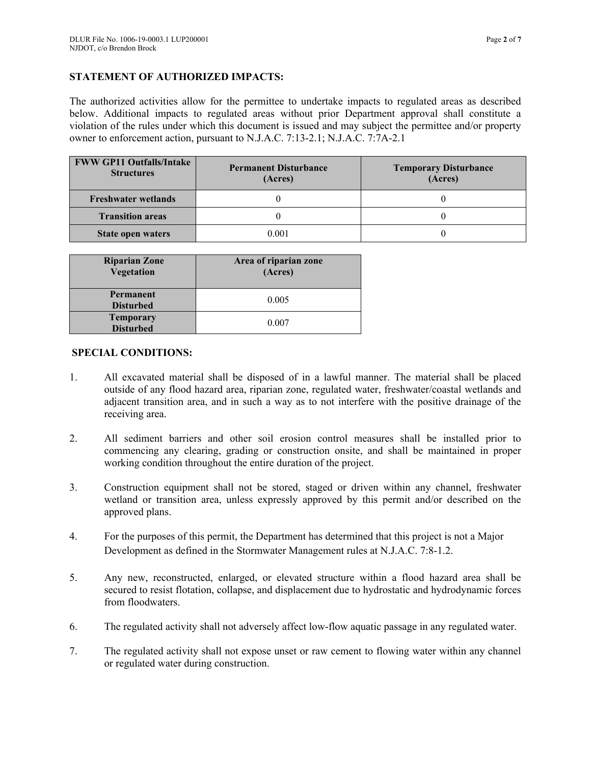# **STATEMENT OF AUTHORIZED IMPACTS:**

The authorized activities allow for the permittee to undertake impacts to regulated areas as described below. Additional impacts to regulated areas without prior Department approval shall constitute a violation of the rules under which this document is issued and may subject the permittee and/or property owner to enforcement action, pursuant to N.J.A.C. 7:13-2.1; N.J.A.C. 7:7A-2.1

| <b>FWW GP11 Outfalls/Intake</b><br><b>Structures</b> | <b>Permanent Disturbance</b><br>(Acres) | <b>Temporary Disturbance</b><br>(Acres) |
|------------------------------------------------------|-----------------------------------------|-----------------------------------------|
| <b>Freshwater wetlands</b>                           |                                         |                                         |
| <b>Transition areas</b>                              |                                         |                                         |
| State open waters                                    | 0.001                                   |                                         |

| <b>Riparian Zone</b><br>Vegetation   | Area of riparian zone<br>(Acres) |
|--------------------------------------|----------------------------------|
| Permanent<br><b>Disturbed</b>        | 0.005                            |
| <b>Temporary</b><br><b>Disturbed</b> | 0.007                            |

# **SPECIAL CONDITIONS:**

- 1. All excavated material shall be disposed of in a lawful manner. The material shall be placed outside of any flood hazard area, riparian zone, regulated water, freshwater/coastal wetlands and adjacent transition area, and in such a way as to not interfere with the positive drainage of the receiving area.
- 2. All sediment barriers and other soil erosion control measures shall be installed prior to commencing any clearing, grading or construction onsite, and shall be maintained in proper working condition throughout the entire duration of the project.
- 3. Construction equipment shall not be stored, staged or driven within any channel, freshwater wetland or transition area, unless expressly approved by this permit and/or described on the approved plans.
- 4. For the purposes of this permit, the Department has determined that this project is not a Major Development as defined in the Stormwater Management rules at N.J.A.C. 7:8-1.2.
- 5. Any new, reconstructed, enlarged, or elevated structure within a flood hazard area shall be secured to resist flotation, collapse, and displacement due to hydrostatic and hydrodynamic forces from floodwaters.
- 6. The regulated activity shall not adversely affect low-flow aquatic passage in any regulated water.
- 7. The regulated activity shall not expose unset or raw cement to flowing water within any channel or regulated water during construction.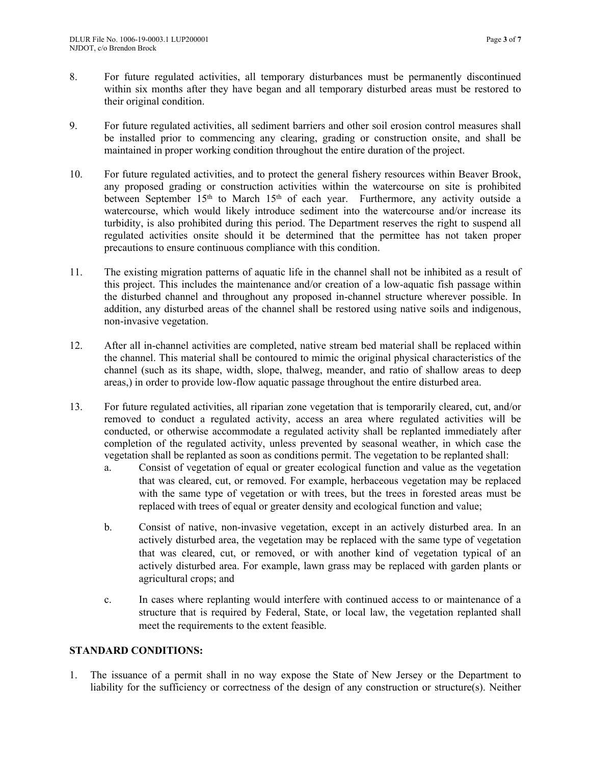- 8. For future regulated activities, all temporary disturbances must be permanently discontinued within six months after they have began and all temporary disturbed areas must be restored to their original condition.
- 9. For future regulated activities, all sediment barriers and other soil erosion control measures shall be installed prior to commencing any clearing, grading or construction onsite, and shall be maintained in proper working condition throughout the entire duration of the project.
- 10. For future regulated activities, and to protect the general fishery resources within Beaver Brook, any proposed grading or construction activities within the watercourse on site is prohibited between September 15<sup>th</sup> to March 15<sup>th</sup> of each year. Furthermore, any activity outside a watercourse, which would likely introduce sediment into the watercourse and/or increase its turbidity, is also prohibited during this period. The Department reserves the right to suspend all regulated activities onsite should it be determined that the permittee has not taken proper precautions to ensure continuous compliance with this condition.
- 11. The existing migration patterns of aquatic life in the channel shall not be inhibited as a result of this project. This includes the maintenance and/or creation of a low-aquatic fish passage within the disturbed channel and throughout any proposed in-channel structure wherever possible. In addition, any disturbed areas of the channel shall be restored using native soils and indigenous, non-invasive vegetation.
- 12. After all in-channel activities are completed, native stream bed material shall be replaced within the channel. This material shall be contoured to mimic the original physical characteristics of the channel (such as its shape, width, slope, thalweg, meander, and ratio of shallow areas to deep areas,) in order to provide low-flow aquatic passage throughout the entire disturbed area.
- 13. For future regulated activities, all riparian zone vegetation that is temporarily cleared, cut, and/or removed to conduct a regulated activity, access an area where regulated activities will be conducted, or otherwise accommodate a regulated activity shall be replanted immediately after completion of the regulated activity, unless prevented by seasonal weather, in which case the vegetation shall be replanted as soon as conditions permit. The vegetation to be replanted shall:
	- a. Consist of vegetation of equal or greater ecological function and value as the vegetation that was cleared, cut, or removed. For example, herbaceous vegetation may be replaced with the same type of vegetation or with trees, but the trees in forested areas must be replaced with trees of equal or greater density and ecological function and value;
	- b. Consist of native, non-invasive vegetation, except in an actively disturbed area. In an actively disturbed area, the vegetation may be replaced with the same type of vegetation that was cleared, cut, or removed, or with another kind of vegetation typical of an actively disturbed area. For example, lawn grass may be replaced with garden plants or agricultural crops; and
	- c. In cases where replanting would interfere with continued access to or maintenance of a structure that is required by Federal, State, or local law, the vegetation replanted shall meet the requirements to the extent feasible.

# **STANDARD CONDITIONS:**

1. The issuance of a permit shall in no way expose the State of New Jersey or the Department to liability for the sufficiency or correctness of the design of any construction or structure(s). Neither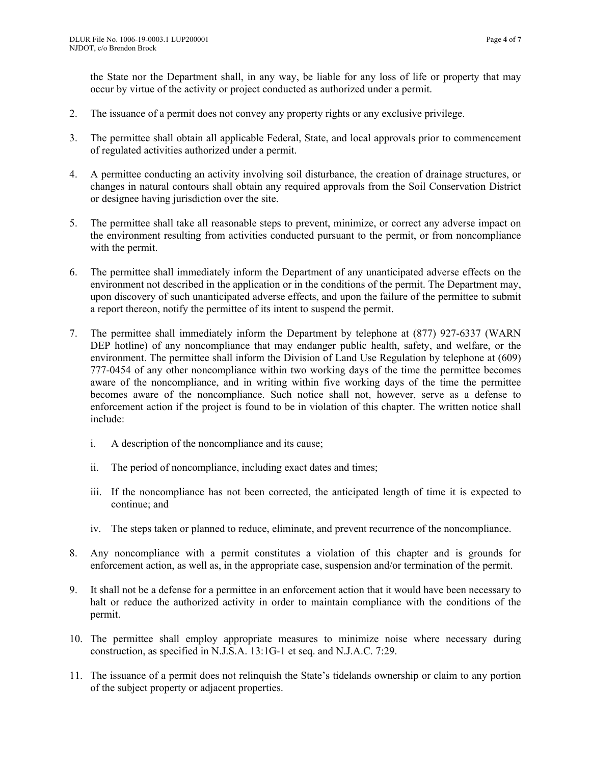the State nor the Department shall, in any way, be liable for any loss of life or property that may occur by virtue of the activity or project conducted as authorized under a permit.

- 2. The issuance of a permit does not convey any property rights or any exclusive privilege.
- 3. The permittee shall obtain all applicable Federal, State, and local approvals prior to commencement of regulated activities authorized under a permit.
- 4. A permittee conducting an activity involving soil disturbance, the creation of drainage structures, or changes in natural contours shall obtain any required approvals from the Soil Conservation District or designee having jurisdiction over the site.
- 5. The permittee shall take all reasonable steps to prevent, minimize, or correct any adverse impact on the environment resulting from activities conducted pursuant to the permit, or from noncompliance with the permit.
- 6. The permittee shall immediately inform the Department of any unanticipated adverse effects on the environment not described in the application or in the conditions of the permit. The Department may, upon discovery of such unanticipated adverse effects, and upon the failure of the permittee to submit a report thereon, notify the permittee of its intent to suspend the permit.
- 7. The permittee shall immediately inform the Department by telephone at (877) 927-6337 (WARN DEP hotline) of any noncompliance that may endanger public health, safety, and welfare, or the environment. The permittee shall inform the Division of Land Use Regulation by telephone at (609) 777-0454 of any other noncompliance within two working days of the time the permittee becomes aware of the noncompliance, and in writing within five working days of the time the permittee becomes aware of the noncompliance. Such notice shall not, however, serve as a defense to enforcement action if the project is found to be in violation of this chapter. The written notice shall include:
	- i. A description of the noncompliance and its cause;
	- ii. The period of noncompliance, including exact dates and times;
	- iii. If the noncompliance has not been corrected, the anticipated length of time it is expected to continue; and
	- iv. The steps taken or planned to reduce, eliminate, and prevent recurrence of the noncompliance.
- 8. Any noncompliance with a permit constitutes a violation of this chapter and is grounds for enforcement action, as well as, in the appropriate case, suspension and/or termination of the permit.
- 9. It shall not be a defense for a permittee in an enforcement action that it would have been necessary to halt or reduce the authorized activity in order to maintain compliance with the conditions of the permit.
- 10. The permittee shall employ appropriate measures to minimize noise where necessary during construction, as specified in N.J.S.A. 13:1G-1 et seq. and N.J.A.C. 7:29.
- 11. The issuance of a permit does not relinquish the State's tidelands ownership or claim to any portion of the subject property or adjacent properties.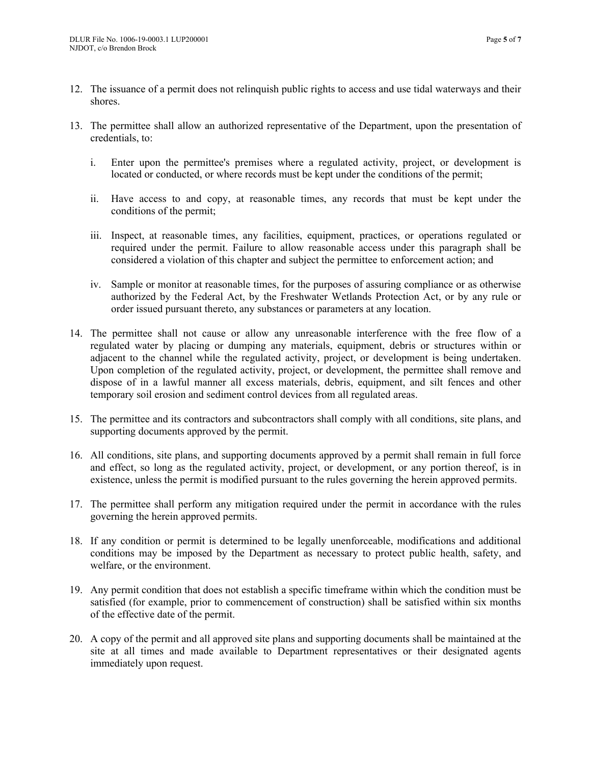- 12. The issuance of a permit does not relinquish public rights to access and use tidal waterways and their shores.
- 13. The permittee shall allow an authorized representative of the Department, upon the presentation of credentials, to:
	- i. Enter upon the permittee's premises where a regulated activity, project, or development is located or conducted, or where records must be kept under the conditions of the permit;
	- ii. Have access to and copy, at reasonable times, any records that must be kept under the conditions of the permit;
	- iii. Inspect, at reasonable times, any facilities, equipment, practices, or operations regulated or required under the permit. Failure to allow reasonable access under this paragraph shall be considered a violation of this chapter and subject the permittee to enforcement action; and
	- iv. Sample or monitor at reasonable times, for the purposes of assuring compliance or as otherwise authorized by the Federal Act, by the Freshwater Wetlands Protection Act, or by any rule or order issued pursuant thereto, any substances or parameters at any location.
- 14. The permittee shall not cause or allow any unreasonable interference with the free flow of a regulated water by placing or dumping any materials, equipment, debris or structures within or adjacent to the channel while the regulated activity, project, or development is being undertaken. Upon completion of the regulated activity, project, or development, the permittee shall remove and dispose of in a lawful manner all excess materials, debris, equipment, and silt fences and other temporary soil erosion and sediment control devices from all regulated areas.
- 15. The permittee and its contractors and subcontractors shall comply with all conditions, site plans, and supporting documents approved by the permit.
- 16. All conditions, site plans, and supporting documents approved by a permit shall remain in full force and effect, so long as the regulated activity, project, or development, or any portion thereof, is in existence, unless the permit is modified pursuant to the rules governing the herein approved permits.
- 17. The permittee shall perform any mitigation required under the permit in accordance with the rules governing the herein approved permits.
- 18. If any condition or permit is determined to be legally unenforceable, modifications and additional conditions may be imposed by the Department as necessary to protect public health, safety, and welfare, or the environment.
- 19. Any permit condition that does not establish a specific timeframe within which the condition must be satisfied (for example, prior to commencement of construction) shall be satisfied within six months of the effective date of the permit.
- 20. A copy of the permit and all approved site plans and supporting documents shall be maintained at the site at all times and made available to Department representatives or their designated agents immediately upon request.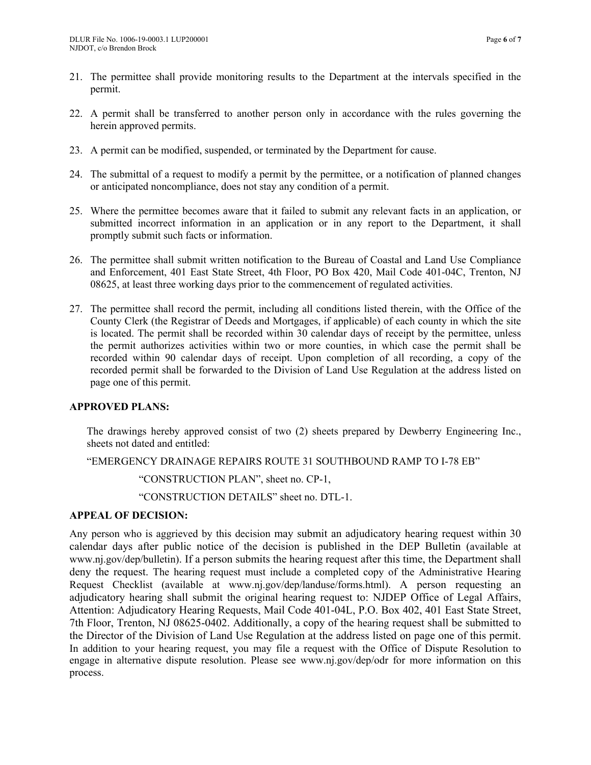- 21. The permittee shall provide monitoring results to the Department at the intervals specified in the permit.
- 22. A permit shall be transferred to another person only in accordance with the rules governing the herein approved permits.
- 23. A permit can be modified, suspended, or terminated by the Department for cause.
- 24. The submittal of a request to modify a permit by the permittee, or a notification of planned changes or anticipated noncompliance, does not stay any condition of a permit.
- 25. Where the permittee becomes aware that it failed to submit any relevant facts in an application, or submitted incorrect information in an application or in any report to the Department, it shall promptly submit such facts or information.
- 26. The permittee shall submit written notification to the Bureau of Coastal and Land Use Compliance and Enforcement, 401 East State Street, 4th Floor, PO Box 420, Mail Code 401-04C, Trenton, NJ 08625, at least three working days prior to the commencement of regulated activities.
- 27. The permittee shall record the permit, including all conditions listed therein, with the Office of the County Clerk (the Registrar of Deeds and Mortgages, if applicable) of each county in which the site is located. The permit shall be recorded within 30 calendar days of receipt by the permittee, unless the permit authorizes activities within two or more counties, in which case the permit shall be recorded within 90 calendar days of receipt. Upon completion of all recording, a copy of the recorded permit shall be forwarded to the Division of Land Use Regulation at the address listed on page one of this permit.

### **APPROVED PLANS:**

The drawings hereby approved consist of two (2) sheets prepared by Dewberry Engineering Inc., sheets not dated and entitled:

"EMERGENCY DRAINAGE REPAIRS ROUTE 31 SOUTHBOUND RAMP TO I-78 EB"

"CONSTRUCTION PLAN", sheet no. CP-1,

"CONSTRUCTION DETAILS" sheet no. DTL-1.

### **APPEAL OF DECISION:**

Any person who is aggrieved by this decision may submit an adjudicatory hearing request within 30 calendar days after public notice of the decision is published in the DEP Bulletin (available at www.nj.gov/dep/bulletin). If a person submits the hearing request after this time, the Department shall deny the request. The hearing request must include a completed copy of the Administrative Hearing Request Checklist (available at www.nj.gov/dep/landuse/forms.html). A person requesting an adjudicatory hearing shall submit the original hearing request to: NJDEP Office of Legal Affairs, Attention: Adjudicatory Hearing Requests, Mail Code 401-04L, P.O. Box 402, 401 East State Street, 7th Floor, Trenton, NJ 08625-0402. Additionally, a copy of the hearing request shall be submitted to the Director of the Division of Land Use Regulation at the address listed on page one of this permit. In addition to your hearing request, you may file a request with the Office of Dispute Resolution to engage in alternative dispute resolution. Please see www.nj.gov/dep/odr for more information on this process.